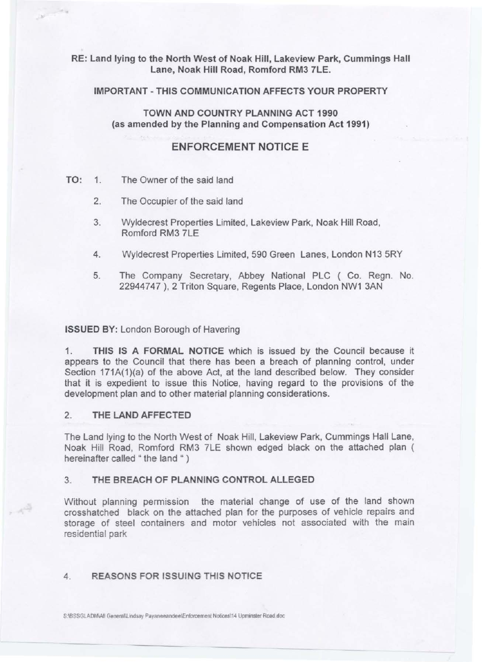# RE: Land lying to the North West of Noak Hill, Lakeview Park, Cummings Hall Lane, Noak Hill Road, Romford RM3 7LE.

### IMPORTANT-THIS COMMUNICATION AFFECTS YOUR PROPERTY

TOWN AND COUNTRY PLANNING ACT 1990 (as amended by the Planning and Compensation Act 1991)

# ENFORCEMENT NOTICE E

# TO: 1. The Owner of the said land

te is

- 2. The Occupier of the said land
- 3. Wyldecrest Properties Limited, Lakeview Park, Noak Hill Road, Romford RM3 7LE
- 4. Wyldecrest Properties Limited, 590 Green Lanes, London N13 5RY
- 5. The Company Secretary, Abbey National PLC ( Co. Regn. No. 22944747 ), 2 Triton Square, Regents Place, London NW1 3AN

ISSUED BY: London Borough of Havering

1. THIS IS A FORMAL NOTICE which is issued by the Council because it appears to the Council that there has been a breach of planning control, under Section 171A(1)(a) of the above Act, at the land described below. They consider that it is expedient to issue this Notice, having regard to the provisions of the development plan and to other material planning considerations.

# 2. THE LAND AFFECTED

 $\frac{1}{2} \int_{-\frac{1}{2}}^{\frac{1}{2}} \frac{dx}{(x-y)^2} \, dy$ 

The Land lying to the North West of Noak Hill, Lakeview Park, Cummings Hall Lane, Noak Hill Road, Romford RM3 ?LE shown edged black on the attached plan ( hereinafter called " the land ")

# 3. THE BREACH OF PLANNING CONTROL ALLEGED

Without planning permission the material change of use of the land shown crosshatched black on the attached plan for the purposes of vehicle repairs and storage of steel containers and motor vehicles not associated with the main residential park

#### 4. REASONS FOR ISSUING THIS NOTICE

-- S:IBSSGLADM\All General\Lindsay Payaneeandee\Enforcement Notices\14 Upminster Road.doc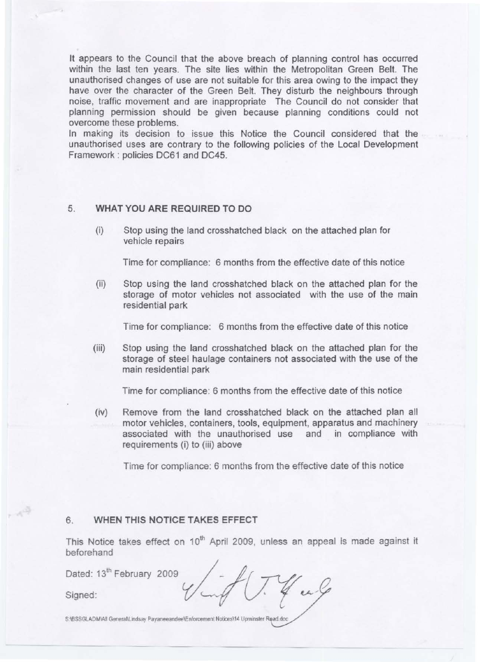It appears to the Council that the above breach of planning control has occurred within the last ten years. The site lies within the Metropolitan Green Belt. The unauthorised changes of use are not suitable for this area owing to the impact they have over the character of the Green Belt. They disturb the neighbours through noise, traffic movement and are inappropriate The Council do not consider that planning permission should be given because planning conditions could not overcome these problems.

In making its decision to issue this Notice the Council considered that the unauthorised uses are contrary to the following policies of the Local Development Framework : policies DC61 and DC45.

# 5. **WHAT YOU ARE REQUIRED TO DO**

(i) Stop using the land crosshatched black on the attached plan for vehicle repairs

Time for compliance: 6 months from the effective date of this notice

(ii) Stop using the land crosshatched black on the attached plan for the storage of motor vehicles not associated with the use of the main residential park

Time for compliance: 6 months from the effective date of this notice

(iii) Stop using the land crosshatched black on the attached plan for the storage of steel haulage containers not associated with the use of the main residential park

Time for compliance: 6 months from the effective date of this notice

(iv) Remove from the land crosshatched black on the attached plan all motor vehicles, containers, tools, equipment, apparatus and machinery associated with the unauthorised use and in compliance with requirements (i) to (iii) above

Time for compliance: 6 months from the effective date of this notice

# 6. **WHEN THIS NOTICE TAKES EFFECT**

 $\mathcal{A}^{\mathcal{Q}}$ 

This Notice takes effect on 10<sup>th</sup> April 2009, unless an appeal is made against it beforehand

| beforehand                            |  |
|---------------------------------------|--|
| Dated: 13 <sup>th</sup> February 2009 |  |
| Signed:                               |  |
|                                       |  |

S:\BSSGLADM\All General\Lindsay Payaneeandee\Enforcement Notices\14 Upminster Road.doc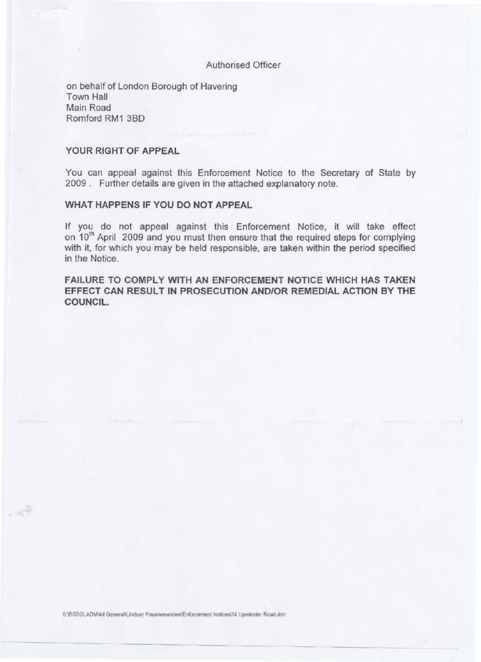# Authorised Officer

on behalf of London Borough of Havering Town Hall Main Road Romford RM1 380

### **YOUR RIGHT OF APPEAL**

 $A^{\overline{Q}}$ 

You can appeal against this Enforcement Notice to the Secretary of State by 2009 . Further details are given in the attached explanatory note.

# **WHAT HAPPENS IF YOU DO NOT APPEAL**

If you do not appeal against this Enforcement Notice, it will take effect on 10<sup>th</sup> April 2009 and you must then ensure that the required steps for complying with it, for which you may be held responsible, are taken within the period specified in the Notice.

**FAILURE TO COMPLY WITH AN ENFORCEMENT NOTICE WHICH HAS TAKEN EFFECT CAN RESULT IN PROSECUTION AND/OR REMEDIAL ACTION BY THE COUNCIL.**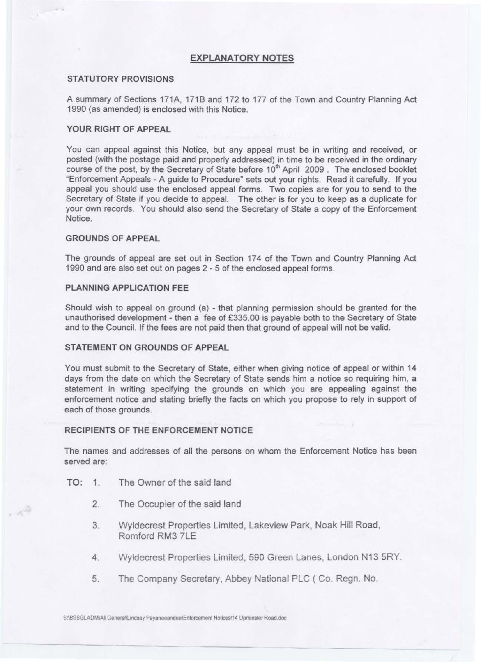### **EXPLANATORY NOTES**

#### **STATUTORY PROVISIONS**

A summary of Sections 171A, 1718 and 172 to 177 of the Town and Country Planning Act 1990 (as amended) is enclosed with this Notice.

#### **YOUR RIGHT OF APPEAL**

You can appeal against this Notice, but any appeal must be in writing and received, or posted (with the postage paid and properly addressed) in time to be received in the ordinary course of the post, by the Secretary of State before 10<sup>th</sup> April 2009. The enclosed booklet "Enforcement Appeals - A guide to Procedure" sets out your rights. Read it carefully. If you appeal you should use the enclosed appeal forms. Two copies are for you to send to the Secretary of State if you decide to appeal. The other is for you to keep as a duplicate for your own records. You should also send the Secretary of State a copy of the Enforcement Notice.

### **GROUNDS OF APPEAL**

The grounds of appeal are set out in Section 174 of the Town and Country Planning Act 1990 and are also set out on pages 2 - 5 of the enclosed appeal forms.

#### **PLANNING APPLICATION FEE**

Should wish to appeal on ground (a) - that planning permission should be granted for the unauthorised development - then a fee of £335.00 is payable both to the Secretary of State and to the Council. If the fees are not paid then that ground of appeal will not be valid.

#### **STATEMENT ON GROUNDS OF APPEAL**

You must submit to the Secretary of State, either when giving notice of appeal or within 14 days from the date on which the Secretary of State sends him a notice so requiring him, a statement in writing specifying the grounds on which you are appealing against the enforcement notice and stating briefly the facts on which you propose to rely in support of each of those grounds.

#### **RECIPIENTS OF THE ENFORCEMENT NOTICE**

The names and addresses of all the persons on whom the Enforcement Notice has been served are:

TO: 1. The Owner of the said land

 $\sim$ 

- 2. The Occupier of the said land
- 3. Wyldecrest Properties Limited, Lakeview Park, Noak Hill Road, Romford RM3 7LE
- 4. Wyldecrest Properties Limited, 590 Green Lanes, London N13 5RY.
- 5. The Company Secretary, Abbey National PLC (Co. Regn. No.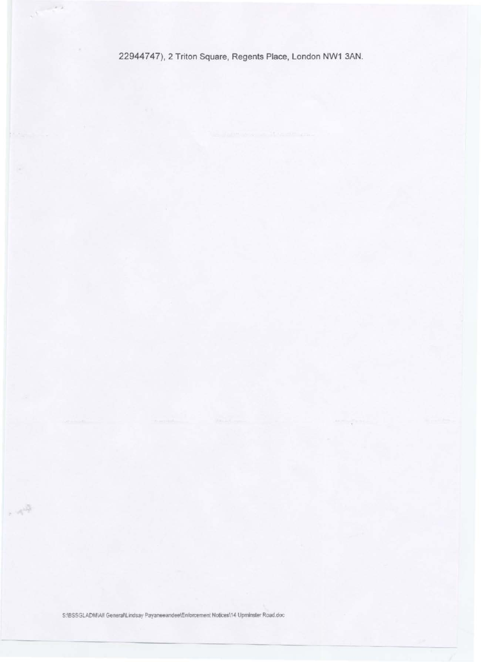22944747), 2 Triton Square, Regents Place, London NW1 3AN.

 $\cdots \rightarrow \infty$ 

 $\sim 10^{10}$ 

S:\BSSGLADM\All General\Lindsay Payaneeandee\Enforcement Notices\14 Upminster Road.doc